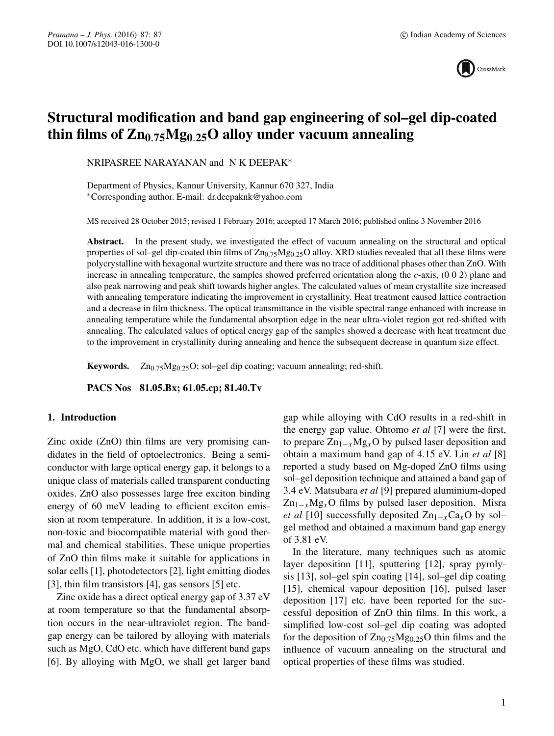

# **Structural modification and band gap engineering of sol–gel dip-coated** thin films of  $\text{Zn}_{0.75}\text{Mg}_{0.25}\text{O}$  alloy under vacuum annealing

NRIPASREE NARAYANAN and N K DEEPAK∗

Department of Physics, Kannur University, Kannur 670 327, India ∗Corresponding author. E-mail: dr.deepaknk@yahoo.com

MS received 28 October 2015; revised 1 February 2016; accepted 17 March 2016; published online 3 November 2016

**Abstract.** In the present study, we investigated the effect of vacuum annealing on the structural and optical properties of sol–gel dip-coated thin films of  $Zn<sub>0.75</sub>Mg<sub>0.25</sub>O$  alloy. XRD studies revealed that all these films were polycrystalline with hexagonal wurtzite structure and there was no trace of additional phases other than ZnO. With increase in annealing temperature, the samples showed preferred orientation along the  $c$ -axis, (0 0 2) plane and also peak narrowing and peak shift towards higher angles. The calculated values of mean crystallite size increased with annealing temperature indicating the improvement in crystallinity. Heat treatment caused lattice contraction and a decrease in film thickness. The optical transmittance in the visible spectral range enhanced with increase in annealing temperature while the fundamental absorption edge in the near ultra-violet region got red-shifted with annealing. The calculated values of optical energy gap of the samples showed a decrease with heat treatment due to the improvement in crystallinity during annealing and hence the subsequent decrease in quantum size effect.

**Keywords.** Zn<sub>0.75</sub>Mg<sub>0.25</sub>O; sol–gel dip coating; vacuum annealing; red-shift.

**PACS Nos 81.05.Bx; 61.05.cp; 81.40.Tv**

# **1. Introduction**

Zinc oxide (ZnO) thin films are very promising candidates in the field of optoelectronics. Being a semiconductor with large optical energy gap, it belongs to a unique class of materials called transparent conducting oxides. ZnO also possesses large free exciton binding energy of 60 meV leading to efficient exciton emission at room temperature. In addition, it is a low-cost, non-toxic and biocompatible material with good thermal and chemical stabilities. These unique properties of ZnO thin films make it suitable for applications in solar cells [1], photodetectors [2], light emitting diodes [3], thin film transistors [4], gas sensors [5] etc.

Zinc oxide has a direct optical energy gap of 3.37 eV at room temperature so that the fundamental absorption occurs in the near-ultraviolet region. The bandgap energy can be tailored by alloying with materials such as MgO, CdO etc. which have different band gaps [6]. By alloying with MgO, we shall get larger band gap while alloying with CdO results in a red-shift in the energy gap value. Ohtomo *et al* [7] were the first, to prepare  $Zn_{1-x}Mg_xO$  by pulsed laser deposition and obtain a maximum band gap of 4.15 eV. Lin *et al* [8] reported a study based on Mg-doped ZnO films using sol–gel deposition technique and attained a band gap of 3.4 eV. Matsubara *et al* [9] prepared aluminium-doped  $Zn_{1-x}Mg_xO$  films by pulsed laser deposition. Misra *et al* [10] successfully deposited  $Zn_{1-x}Ca_xO$  by sol– gel method and obtained a maximum band gap energy of 3.81 eV.

In the literature, many techniques such as atomic layer deposition [11], sputtering [12], spray pyrolysis [13], sol–gel spin coating [14], sol–gel dip coating [15], chemical vapour deposition [16], pulsed laser deposition [17] etc. have been reported for the successful deposition of ZnO thin films. In this work, a simplified low-cost sol–gel dip coating was adopted for the deposition of  $Zn_{0.75}Mg_{0.25}O$  thin films and the influence of vacuum annealing on the structural and optical properties of these films was studied.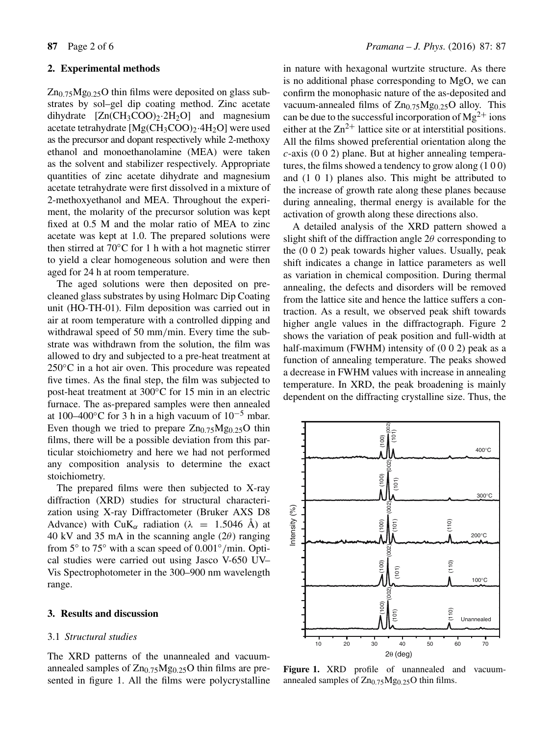# **2. Experimental methods**

 $Zn<sub>0.75</sub>Mg<sub>0.25</sub>O$  thin films were deposited on glass substrates by sol–gel dip coating method. Zinc acetate dihydrate  $[Zn(CH_3COO)_2.2H_2O]$  and magnesium acetate tetrahydrate  $[Mg(CH_3COO)_2.4H_2O]$  were used as the precursor and dopant respectively while 2-methoxy ethanol and monoethanolamine (MEA) were taken as the solvent and stabilizer respectively. Appropriate quantities of zinc acetate dihydrate and magnesium acetate tetrahydrate were first dissolved in a mixture of 2-methoxyethanol and MEA. Throughout the experiment, the molarity of the precursor solution was kept fixed at 0.5 M and the molar ratio of MEA to zinc acetate was kept at 1.0. The prepared solutions were then stirred at  $70^{\circ}$ C for 1 h with a hot magnetic stirrer to yield a clear homogeneous solution and were then aged for 24 h at room temperature.

The aged solutions were then deposited on precleaned glass substrates by using Holmarc Dip Coating unit (HO-TH-01). Film deposition was carried out in air at room temperature with a controlled dipping and withdrawal speed of 50 mm/min. Every time the substrate was withdrawn from the solution, the film was allowed to dry and subjected to a pre-heat treatment at  $250\degree$ C in a hot air oven. This procedure was repeated five times. As the final step, the film was subjected to post-heat treatment at 300◦C for 15 min in an electric furnace. The as-prepared samples were then annealed at 100–400°C for 3 h in a high vacuum of  $10^{-5}$  mbar. Even though we tried to prepare  $Zn<sub>0.75</sub>Mg<sub>0.25</sub>O$  thin films, there will be a possible deviation from this particular stoichiometry and here we had not performed any composition analysis to determine the exact stoichiometry.

The prepared films were then subjected to X-ray diffraction (XRD) studies for structural characterization using X-ray Diffractometer (Bruker AXS D8 Advance) with CuK<sub>α</sub> radiation ( $\lambda$  = 1.5046 Å) at 40 kV and 35 mA in the scanning angle  $(2\theta)$  ranging from 5◦ to 75◦ with a scan speed of 0.001◦/min. Optical studies were carried out using Jasco V-650 UV– Vis Spectrophotometer in the 300–900 nm wavelength range.

## **3. Results and discussion**

#### 3.1 *Structural studies*

The XRD patterns of the unannealed and vacuumannealed samples of  $Zn_{0.75}Mg_{0.25}O$  thin films are presented in figure 1. All the films were polycrystalline in nature with hexagonal wurtzite structure. As there is no additional phase corresponding to MgO, we can confirm the monophasic nature of the as-deposited and vacuum-annealed films of  $Zn_{0.75}Mg_{0.25}O$  alloy. This can be due to the successful incorporation of  $Mg^{2+}$  ions either at the  $\text{Zn}^{2+}$  lattice site or at interstitial positions. All the films showed preferential orientation along the  $c$ -axis (0 0 2) plane. But at higher annealing temperatures, the films showed a tendency to grow along (1 0 0) and (1 0 1) planes also. This might be attributed to the increase of growth rate along these planes because during annealing, thermal energy is available for the activation of growth along these directions also.

A detailed analysis of the XRD pattern showed a slight shift of the diffraction angle  $2\theta$  corresponding to the (0 0 2) peak towards higher values. Usually, peak shift indicates a change in lattice parameters as well as variation in chemical composition. During thermal annealing, the defects and disorders will be removed from the lattice site and hence the lattice suffers a contraction. As a result, we observed peak shift towards higher angle values in the diffractograph. Figure 2 shows the variation of peak position and full-width at half-maximum (FWHM) intensity of (0 0 2) peak as a function of annealing temperature. The peaks showed a decrease in FWHM values with increase in annealing temperature. In XRD, the peak broadening is mainly dependent on the diffracting crystalline size. Thus, the



**Figure 1.** XRD profile of unannealed and vacuumannealed samples of  $Zn_{0.75}Mg_{0.25}O$  thin films.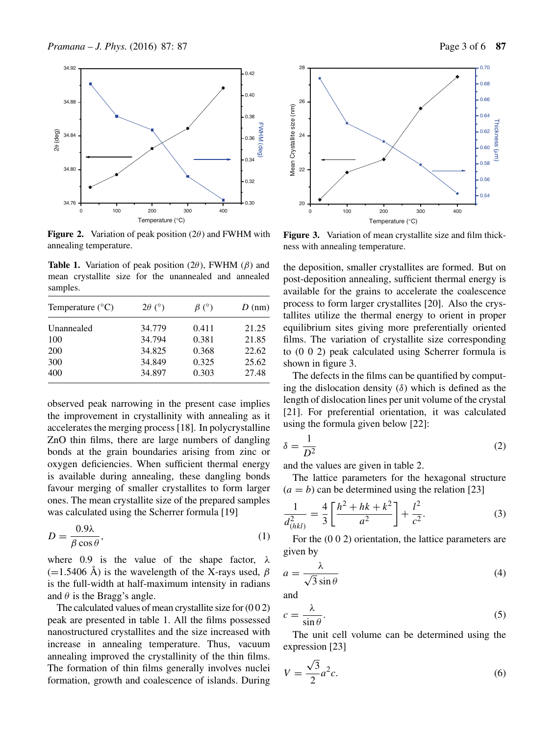

**Figure 2.** Variation of peak position (2θ) and FWHM with annealing temperature.

**Table 1.** Variation of peak position  $(2\theta)$ , FWHM  $(\beta)$  and mean crystallite size for the unannealed and annealed samples.

| Temperature $(^{\circ}C)$ | $2\theta$ (°) | $\beta$ (°) | $D$ (nm) |
|---------------------------|---------------|-------------|----------|
| Unannealed                | 34.779        | 0.411       | 21.25    |
| 100                       | 34.794        | 0.381       | 21.85    |
| <b>200</b>                | 34.825        | 0.368       | 22.62    |
| 300                       | 34.849        | 0.325       | 25.62    |
| 400                       | 34.897        | 0.303       | 27.48    |

observed peak narrowing in the present case implies the improvement in crystallinity with annealing as it accelerates the merging process [18]. In polycrystalline ZnO thin films, there are large numbers of dangling bonds at the grain boundaries arising from zinc or oxygen deficiencies. When sufficient thermal energy is available during annealing, these dangling bonds favour merging of smaller crystallites to form larger ones. The mean crystallite size of the prepared samples was calculated using the Scherrer formula [19]

$$
D = \frac{0.9\lambda}{\beta \cos \theta},\tag{1}
$$

where 0.9 is the value of the shape factor,  $\lambda$  $(=1.5406 \text{ Å})$  is the wavelength of the X-rays used,  $\beta$ is the full-width at half-maximum intensity in radians and  $\theta$  is the Bragg's angle.

The calculated values of mean crystallite size for  $(002)$ peak are presented in table 1. All the films possessed nanostructured crystallites and the size increased with increase in annealing temperature. Thus, vacuum annealing improved the crystallinity of the thin films. The formation of thin films generally involves nuclei formation, growth and coalescence of islands. During



Figure 3. Variation of mean crystallite size and film thickness with annealing temperature.

Temperature (°C)

0 100 200 300 400

the deposition, smaller crystallites are formed. But on post-deposition annealing, sufficient thermal energy is available for the grains to accelerate the coalescence process to form larger crystallites [20]. Also the crystallites utilize the thermal energy to orient in proper equilibrium sites giving more preferentially oriented films. The variation of crystallite size corresponding to (0 0 2) peak calculated using Scherrer formula is shown in figure 3.

The defects in the films can be quantified by computing the dislocation density  $(\delta)$  which is defined as the length of dislocation lines per unit volume of the crystal [21]. For preferential orientation, it was calculated using the formula given below [22]:

$$
\delta = \frac{1}{D^2} \tag{2}
$$

and the values are given in table 2.

The lattice parameters for the hexagonal structure  $(a = b)$  can be determined using the relation [23]

$$
\frac{1}{d_{(hkl)}^2} = \frac{4}{3} \left[ \frac{h^2 + hk + k^2}{a^2} \right] + \frac{l^2}{c^2}.
$$
 (3)

For the (0 0 2) orientation, the lattice parameters are given by

$$
a = \frac{\lambda}{\sqrt{3}\sin\theta} \tag{4}
$$

and

$$
c = \frac{\lambda}{\sin \theta}.\tag{5}
$$

The unit cell volume can be determined using the expression [23]

$$
V = \frac{\sqrt{3}}{2}a^2c.
$$
 (6)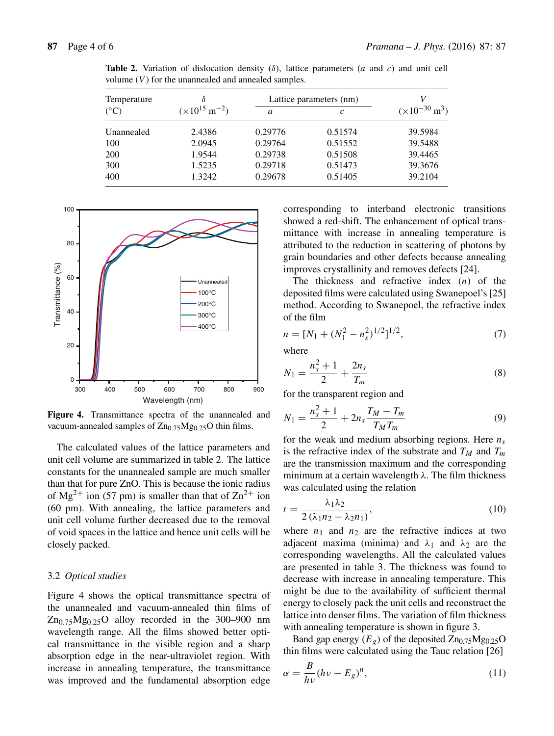| Temperature   | δ<br>$(\times 10^{15} \text{ m}^{-2})$ | Lattice parameters (nm) |               |                                 |
|---------------|----------------------------------------|-------------------------|---------------|---------------------------------|
| $(^{\circ}C)$ |                                        | a                       | $\mathcal{C}$ | $(\times 10^{-30} \text{ m}^3)$ |
| Unannealed    | 2.4386                                 | 0.29776                 | 0.51574       | 39.5984                         |
| 100           | 2.0945                                 | 0.29764                 | 0.51552       | 39.5488                         |
| <b>200</b>    | 1.9544                                 | 0.29738                 | 0.51508       | 39.4465                         |
| 300           | 1.5235                                 | 0.29718                 | 0.51473       | 39.3676                         |
| 400           | 1.3242                                 | 0.29678                 | 0.51405       | 39.2104                         |

**Table 2.** Variation of dislocation density  $(\delta)$ , lattice parameters (a and c) and unit cell volume  $(V)$  for the unannealed and annealed samples.



**Figure 4.** Transmittance spectra of the unannealed and vacuum-annealed samples of  $Zn_{0.75}Mg_{0.25}O$  thin films.

The calculated values of the lattice parameters and unit cell volume are summarized in table 2. The lattice constants for the unannealed sample are much smaller than that for pure ZnO. This is because the ionic radius of Mg<sup>2+</sup> ion (57 pm) is smaller than that of  $\text{Zn}^{2+}$  ion (60 pm). With annealing, the lattice parameters and unit cell volume further decreased due to the removal of void spaces in the lattice and hence unit cells will be closely packed.

## 3.2 *Optical studies*

Figure 4 shows the optical transmittance spectra of the unannealed and vacuum-annealed thin films of  $Zn<sub>0.75</sub>Mg<sub>0.25</sub>O$  alloy recorded in the 300–900 nm wavelength range. All the films showed better optical transmittance in the visible region and a sharp absorption edge in the near-ultraviolet region. With increase in annealing temperature, the transmittance was improved and the fundamental absorption edge corresponding to interband electronic transitions showed a red-shift. The enhancement of optical transmittance with increase in annealing temperature is attributed to the reduction in scattering of photons by grain boundaries and other defects because annealing improves crystallinity and removes defects [24].

The thickness and refractive index  $(n)$  of the deposited films were calculated using Swanepoel's [25] method. According to Swanepoel, the refractive index of the film

$$
n = [N_1 + (N_1^2 - n_s^2)^{1/2}]^{1/2},\tag{7}
$$

where

$$
N_1 = \frac{n_s^2 + 1}{2} + \frac{2n_s}{T_m} \tag{8}
$$

for the transparent region and

$$
N_1 = \frac{n_s^2 + 1}{2} + 2n_s \frac{T_M - T_m}{T_M T_m} \tag{9}
$$

for the weak and medium absorbing regions. Here  $n<sub>s</sub>$ is the refractive index of the substrate and  $T_M$  and  $T_m$ are the transmission maximum and the corresponding minimum at a certain wavelength  $\lambda$ . The film thickness was calculated using the relation

$$
t = \frac{\lambda_1 \lambda_2}{2\left(\lambda_1 n_2 - \lambda_2 n_1\right)},\tag{10}
$$

where  $n_1$  and  $n_2$  are the refractive indices at two adjacent maxima (minima) and  $\lambda_1$  and  $\lambda_2$  are the corresponding wavelengths. All the calculated values are presented in table 3. The thickness was found to decrease with increase in annealing temperature. This might be due to the availability of sufficient thermal energy to closely pack the unit cells and reconstruct the lattice into denser films. The variation of film thickness with annealing temperature is shown in figure 3.

Band gap energy  $(E_g)$  of the deposited  $Zn_{0.75}Mg_{0.25}O$ thin films were calculated using the Tauc relation [26]

$$
\alpha = \frac{B}{h\nu}(h\nu - E_g)^n,\tag{11}
$$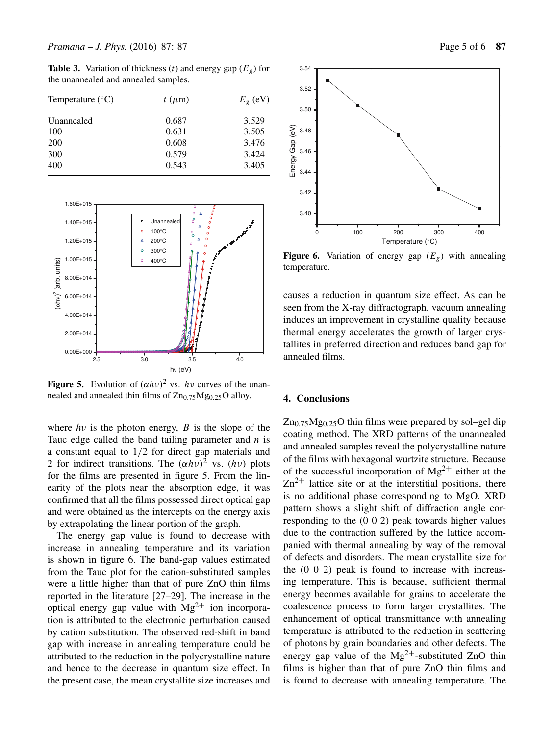**Table 3.** Variation of thickness (t) and energy gap  $(E_{\alpha})$  for the unannealed and annealed samples.

| $t \text{ } (\mu \text{m})$ | $E_g$ (eV) |  |
|-----------------------------|------------|--|
| 0.687                       | 3.529      |  |
| 0.631                       | 3.505      |  |
| 0.608                       | 3.476      |  |
| 0.579                       | 3.424      |  |
| 0.543                       | 3.405      |  |
|                             |            |  |



**Figure 5.** Evolution of  $(\alpha h v)^2$  vs.  $h v$  curves of the unannealed and annealed thin films of  $Zn_{0.75}Mg_{0.25}O$  alloy.

where  $h\nu$  is the photon energy,  $B$  is the slope of the Tauc edge called the band tailing parameter and  $n$  is a constant equal to 1/2 for direct gap materials and 2 for indirect transitions. The  $(\alpha h\nu)^2$  vs.  $(h\nu)$  plots for the films are presented in figure 5. From the linearity of the plots near the absorption edge, it was confirmed that all the films possessed direct optical gap and were obtained as the intercepts on the energy axis by extrapolating the linear portion of the graph.

The energy gap value is found to decrease with increase in annealing temperature and its variation is shown in figure 6. The band-gap values estimated from the Tauc plot for the cation-substituted samples were a little higher than that of pure ZnO thin films reported in the literature [27–29]. The increase in the optical energy gap value with  $Mg^{2+}$  ion incorporation is attributed to the electronic perturbation caused by cation substitution. The observed red-shift in band gap with increase in annealing temperature could be attributed to the reduction in the polycrystalline nature and hence to the decrease in quantum size effect. In the present case, the mean crystallite size increases and



**Figure 6.** Variation of energy gap  $(E_g)$  with annealing temperature.

causes a reduction in quantum size effect. As can be seen from the X-ray diffractograph, vacuum annealing induces an improvement in crystalline quality because thermal energy accelerates the growth of larger crystallites in preferred direction and reduces band gap for annealed films.

## **4. Conclusions**

 $Zn_{0.75}Mg_{0.25}O$  thin films were prepared by sol–gel dip coating method. The XRD patterns of the unannealed and annealed samples reveal the polycrystalline nature of the films with hexagonal wurtzite structure. Because of the successful incorporation of  $Mg^{2+}$  either at the  $Zn^{2+}$  lattice site or at the interstitial positions, there is no additional phase corresponding to MgO. XRD pattern shows a slight shift of diffraction angle corresponding to the (0 0 2) peak towards higher values due to the contraction suffered by the lattice accompanied with thermal annealing by way of the removal of defects and disorders. The mean crystallite size for the  $(0\ 0\ 2)$  peak is found to increase with increasing temperature. This is because, sufficient thermal energy becomes available for grains to accelerate the coalescence process to form larger crystallites. The enhancement of optical transmittance with annealing temperature is attributed to the reduction in scattering of photons by grain boundaries and other defects. The energy gap value of the  $Mg^{2+}$ -substituted ZnO thin films is higher than that of pure ZnO thin films and is found to decrease with annealing temperature. The